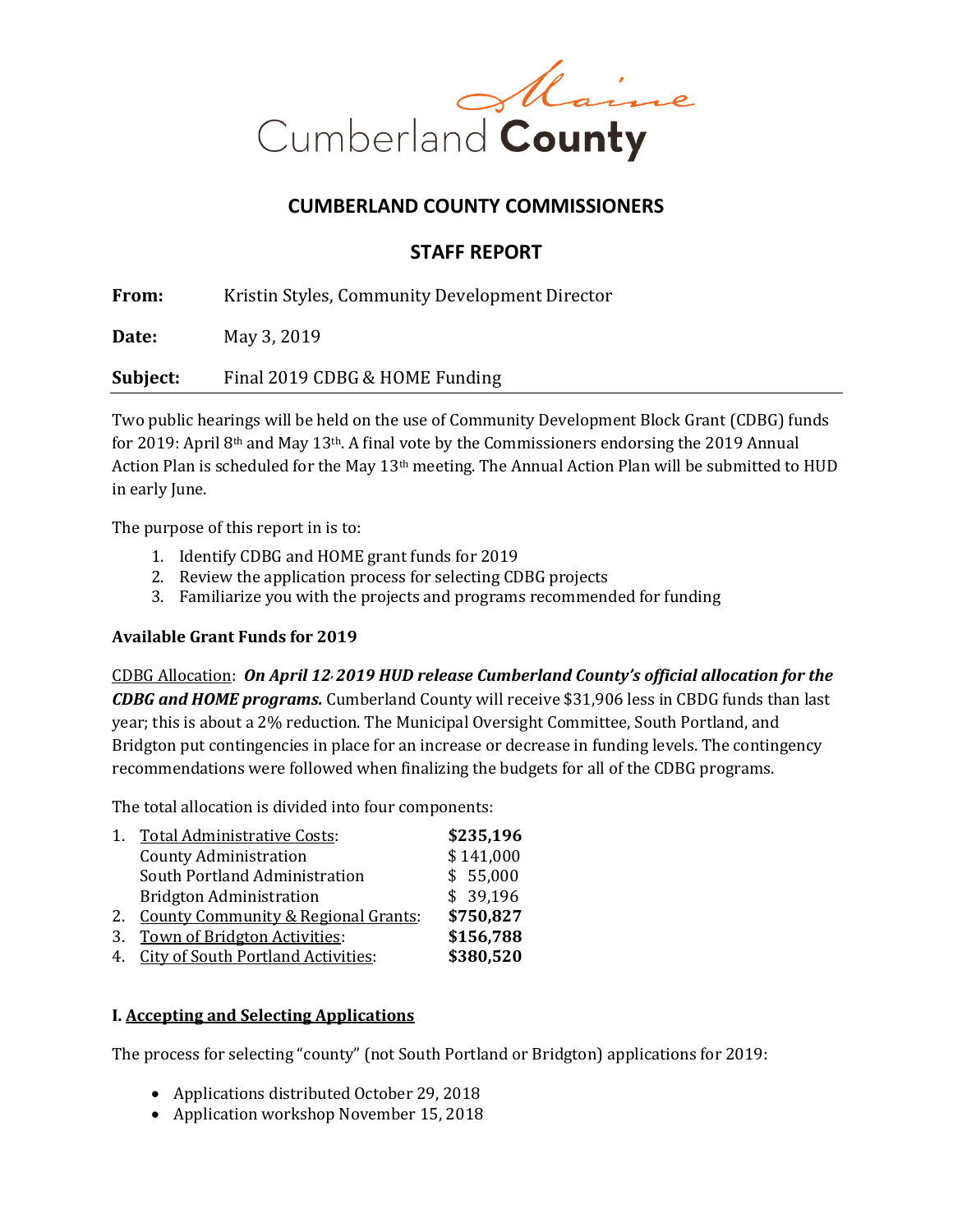

# **CUMBERLAND COUNTY COMMISSIONERS**

## **STAFF REPORT**

**From:** Kristin Styles, Community Development Director

**Date:** May 3, 2019

**Subject:** Final 2019 CDBG & HOME Funding

Two public hearings will be held on the use of Community Development Block Grant (CDBG) funds for 2019: April 8<sup>th</sup> and May 13<sup>th</sup>. A final vote by the Commissioners endorsing the 2019 Annual Action Plan is scheduled for the May 13th meeting. The Annual Action Plan will be submitted to HUD in early June.

The purpose of this report in is to:

- 1. Identify CDBG and HOME grant funds for 2019
- 2. Review the application process for selecting CDBG projects
- 3. Familiarize you with the projects and programs recommended for funding

## **Available Grant Funds for 2019**

CDBG Allocation: *On April 12, 2019 HUD release Cumberland County's official allocation for the CDBG and HOME programs.* Cumberland County will receive \$31,906 less in CBDG funds than last year; this is about a 2% reduction. The Municipal Oversight Committee, South Portland, and Bridgton put contingencies in place for an increase or decrease in funding levels. The contingency recommendations were followed when finalizing the budgets for all of the CDBG programs.

The total allocation is divided into four components:

| 1. | <b>Total Administrative Costs:</b>             | \$235,196 |
|----|------------------------------------------------|-----------|
|    | <b>County Administration</b>                   | \$141,000 |
|    | South Portland Administration                  | \$55,000  |
|    | <b>Bridgton Administration</b>                 | \$39,196  |
| 2. | <b>County Community &amp; Regional Grants:</b> | \$750,827 |
| 3. | Town of Bridgton Activities:                   | \$156,788 |
| 4. | <b>City of South Portland Activities:</b>      | \$380,520 |
|    |                                                |           |

## **I. Accepting and Selecting Applications**

The process for selecting "county" (not South Portland or Bridgton) applications for 2019:

- Applications distributed October 29, 2018
- Application workshop November 15, 2018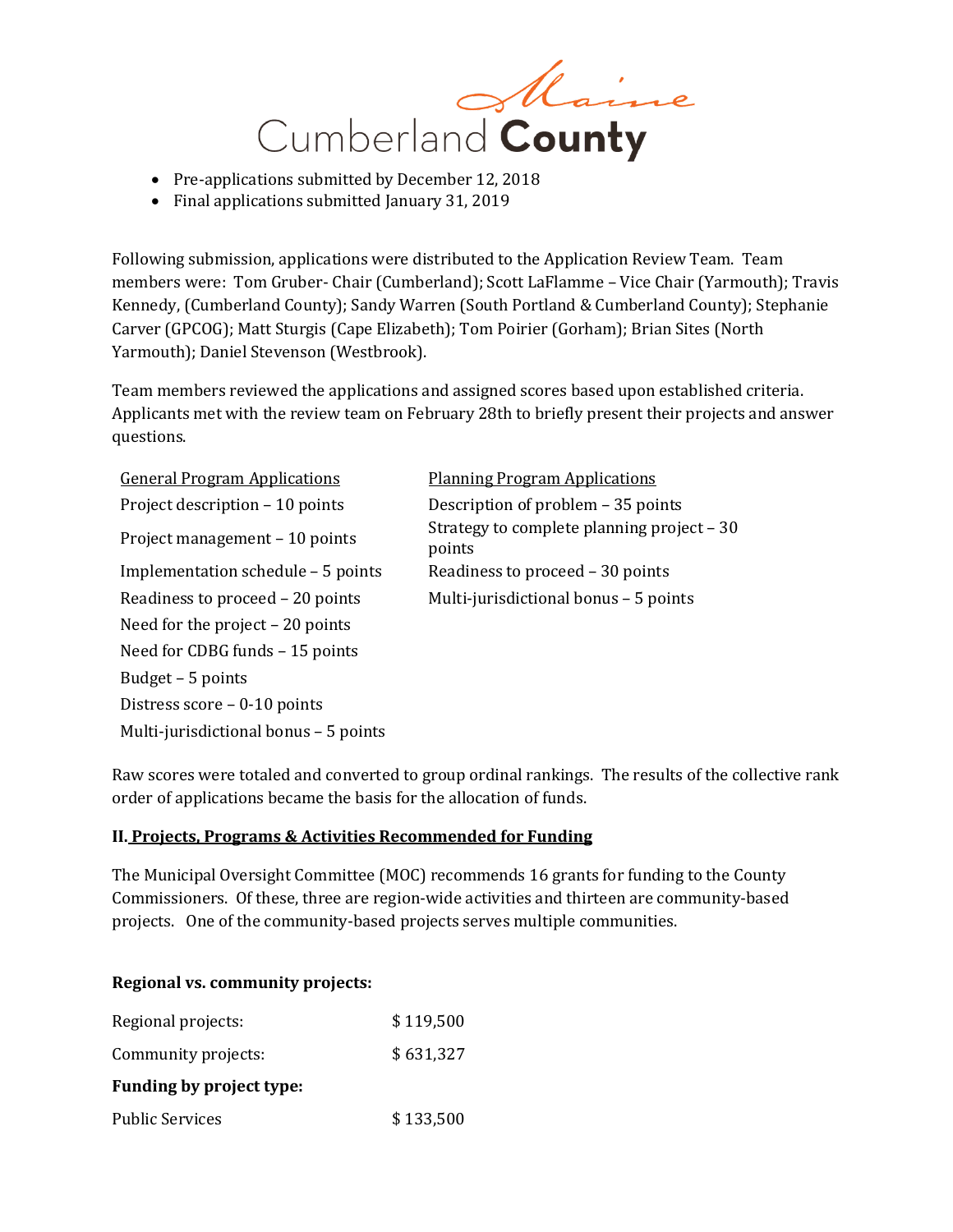

- Pre-applications submitted by December 12, 2018
- Final applications submitted January 31, 2019

Following submission, applications were distributed to the Application Review Team. Team members were: Tom Gruber- Chair (Cumberland); Scott LaFlamme – Vice Chair (Yarmouth); Travis Kennedy, (Cumberland County); Sandy Warren (South Portland & Cumberland County); Stephanie Carver (GPCOG); Matt Sturgis (Cape Elizabeth); Tom Poirier (Gorham); Brian Sites (North Yarmouth); Daniel Stevenson (Westbrook).

Team members reviewed the applications and assigned scores based upon established criteria. Applicants met with the review team on February 28th to briefly present their projects and answer questions.

General Program Applications Planning Program Applications Project description – 10 points Description of problem – 35 points Implementation schedule – 5 points Readiness to proceed – 30 points Need for the project – 20 points Need for CDBG funds – 15 points Budget – 5 points Distress score – 0-10 points Multi-jurisdictional bonus – 5 points

Project management – 10 points Strategy to complete planning project – <sup>30</sup> points Readiness to proceed – 20 points Multi-jurisdictional bonus – 5 points

Raw scores were totaled and converted to group ordinal rankings. The results of the collective rank order of applications became the basis for the allocation of funds.

## **II. Projects, Programs & Activities Recommended for Funding**

The Municipal Oversight Committee (MOC) recommends 16 grants for funding to the County Commissioners. Of these, three are region-wide activities and thirteen are community-based projects. One of the community-based projects serves multiple communities.

## **Regional vs. community projects:**

| Regional projects:       | \$119,500 |  |  |
|--------------------------|-----------|--|--|
| Community projects:      | \$631,327 |  |  |
| Funding by project type: |           |  |  |
| <b>Public Services</b>   | \$133,500 |  |  |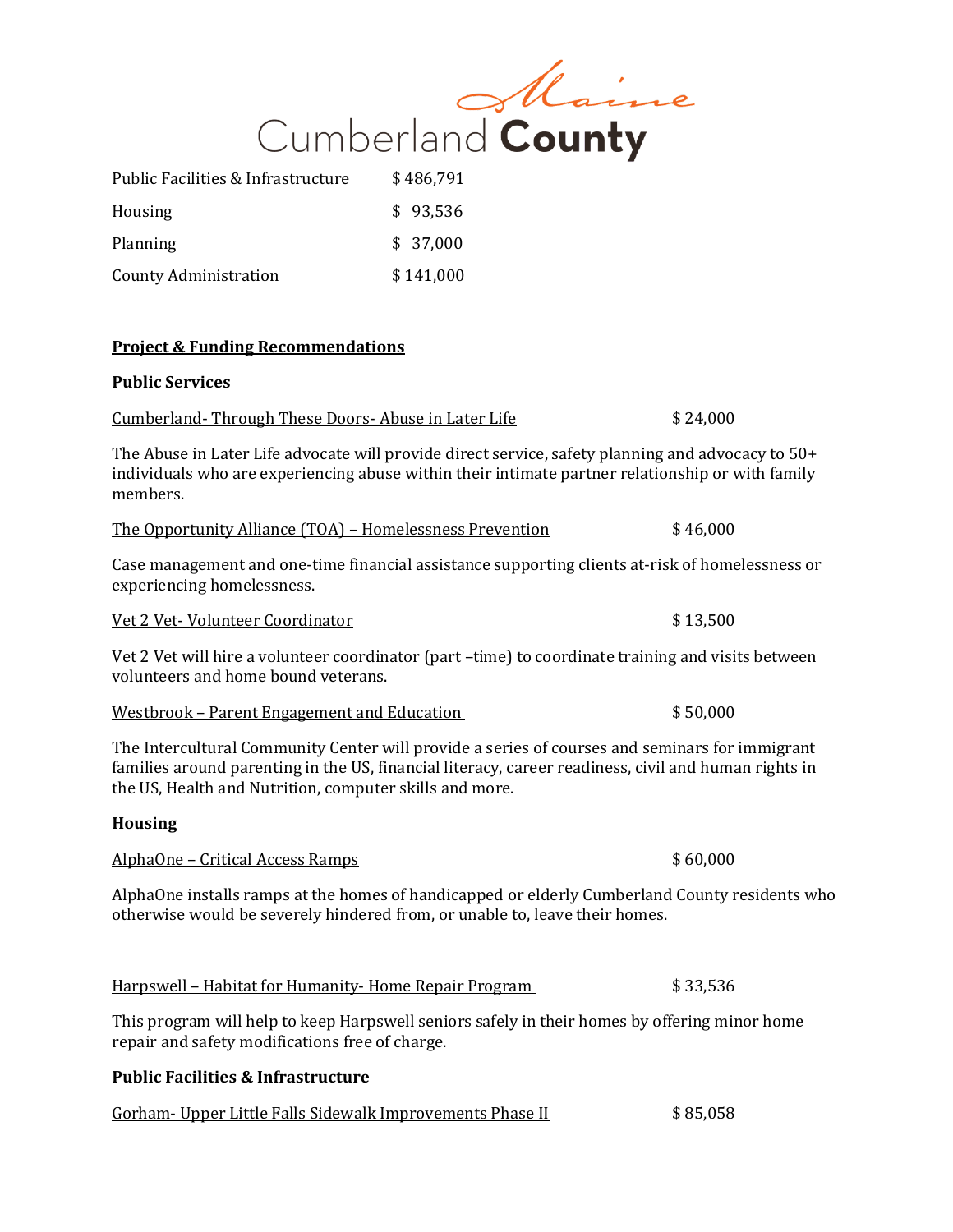|                                                          | Cumberland County                                                                                                                                                                                      |          |
|----------------------------------------------------------|--------------------------------------------------------------------------------------------------------------------------------------------------------------------------------------------------------|----------|
| Public Facilities & Infrastructure                       | \$486,791                                                                                                                                                                                              |          |
| Housing                                                  | \$93,536                                                                                                                                                                                               |          |
| Planning                                                 | \$37,000                                                                                                                                                                                               |          |
| <b>County Administration</b>                             | \$141,000                                                                                                                                                                                              |          |
| <b>Project &amp; Funding Recommendations</b>             |                                                                                                                                                                                                        |          |
| <b>Public Services</b>                                   |                                                                                                                                                                                                        |          |
| Cumberland-Through These Doors-Abuse in Later Life       |                                                                                                                                                                                                        | \$24,000 |
| members.                                                 | The Abuse in Later Life advocate will provide direct service, safety planning and advocacy to 50+<br>individuals who are experiencing abuse within their intimate partner relationship or with family  |          |
| The Opportunity Alliance (TOA) - Homelessness Prevention |                                                                                                                                                                                                        | \$46,000 |
| experiencing homelessness.                               | Case management and one-time financial assistance supporting clients at-risk of homelessness or                                                                                                        |          |
| Vet 2 Vet-Volunteer Coordinator                          |                                                                                                                                                                                                        | \$13,500 |
| volunteers and home bound veterans.                      | Vet 2 Vet will hire a volunteer coordinator (part -time) to coordinate training and visits between                                                                                                     |          |
| <u> Westbrook – Parent Engagement and Education</u>      |                                                                                                                                                                                                        | \$50,000 |
| the US, Health and Nutrition, computer skills and more.  | The Intercultural Community Center will provide a series of courses and seminars for immigrant<br>families around parenting in the US, financial literacy, career readiness, civil and human rights in |          |
| <b>Housing</b>                                           |                                                                                                                                                                                                        |          |
| AlphaOne - Critical Access Ramps                         |                                                                                                                                                                                                        | \$60,000 |
|                                                          | AlphaOne installs ramps at the homes of handicapped or elderly Cumberland County residents who<br>otherwise would be severely hindered from, or unable to, leave their homes.                          |          |
| Harpswell - Habitat for Humanity-Home Repair Program     |                                                                                                                                                                                                        | \$33,536 |

This program will help to keep Harpswell seniors safely in their homes by offering minor home repair and safety modifications free of charge.

## **Public Facilities & Infrastructure**

|  | Gorham - Upper Little Falls Sidewalk Improvements Phase II | \$85,058 |
|--|------------------------------------------------------------|----------|
|--|------------------------------------------------------------|----------|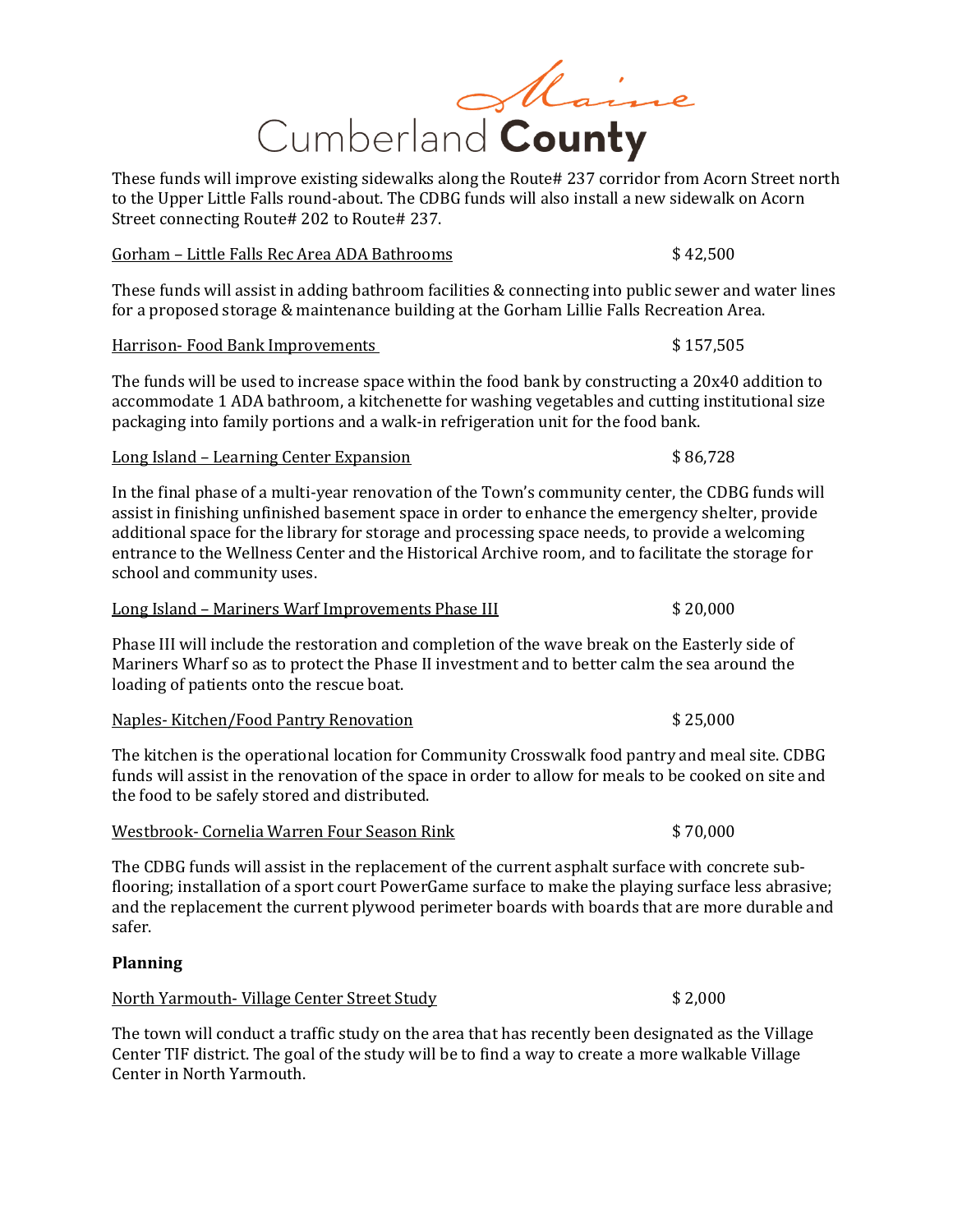# Maine Cumberland County

These funds will improve existing sidewalks along the Route# 237 corridor from Acorn Street north to the Upper Little Falls round-about. The CDBG funds will also install a new sidewalk on Acorn Street connecting Route# 202 to Route# 237.

## Gorham – Little Falls Rec Area ADA Bathrooms  $$42,500$

These funds will assist in adding bathroom facilities & connecting into public sewer and water lines for a proposed storage & maintenance building at the Gorham Lillie Falls Recreation Area.

## Harrison- Food Bank Improvements **\$** 157,505

The funds will be used to increase space within the food bank by constructing a 20x40 addition to accommodate 1 ADA bathroom, a kitchenette for washing vegetables and cutting institutional size packaging into family portions and a walk-in refrigeration unit for the food bank.

## Long Island – Learning Center Expansion **Expansion** \$ 86,728

In the final phase of a multi-year renovation of the Town's community center, the CDBG funds will assist in finishing unfinished basement space in order to enhance the emergency shelter, provide additional space for the library for storage and processing space needs, to provide a welcoming entrance to the Wellness Center and the Historical Archive room, and to facilitate the storage for school and community uses.

| \$20,000<br>Long Island – Mariners Warf Improvements Phase III |
|----------------------------------------------------------------|
|----------------------------------------------------------------|

Phase III will include the restoration and completion of the wave break on the Easterly side of Mariners Wharf so as to protect the Phase II investment and to better calm the sea around the loading of patients onto the rescue boat.

|  | Naples-Kitchen/Food Pantry Renovation | \$25,000 |
|--|---------------------------------------|----------|
|  |                                       |          |

The kitchen is the operational location for Community Crosswalk food pantry and meal site. CDBG funds will assist in the renovation of the space in order to allow for meals to be cooked on site and the food to be safely stored and distributed.

# Westbrook- Cornelia Warren Four Season Rink \$ 70,000

The CDBG funds will assist in the replacement of the current asphalt surface with concrete subflooring; installation of a sport court PowerGame surface to make the playing surface less abrasive; and the replacement the current plywood perimeter boards with boards that are more durable and safer.

## **Planning**

North Yarmouth- Village Center Street Study \$ 2,000

The town will conduct a traffic study on the area that has recently been designated as the Village Center TIF district. The goal of the study will be to find a way to create a more walkable Village Center in North Yarmouth.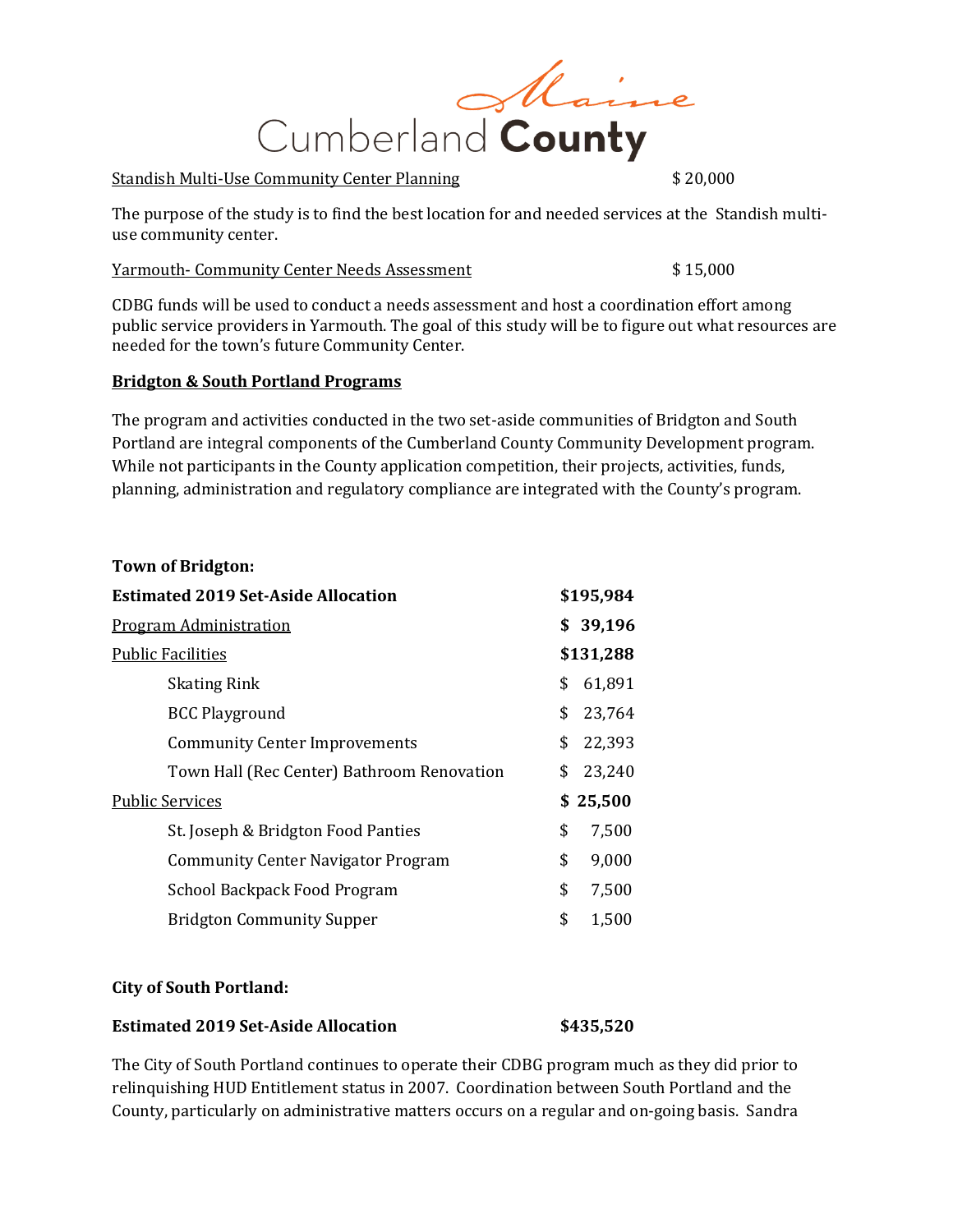

## Standish Multi-Use Community Center Planning  $$20,000$

The purpose of the study is to find the best location for and needed services at the Standish multiuse community center.

## Yarmouth- Community Center Needs Assessment  $$15,000$

CDBG funds will be used to conduct a needs assessment and host a coordination effort among public service providers in Yarmouth. The goal of this study will be to figure out what resources are needed for the town's future Community Center.

## **Bridgton & South Portland Programs**

The program and activities conducted in the two set-aside communities of Bridgton and South Portland are integral components of the Cumberland County Community Development program. While not participants in the County application competition, their projects, activities, funds, planning, administration and regulatory compliance are integrated with the County's program.

## **Town of Bridgton:**

| <b>Estimated 2019 Set-Aside Allocation</b> |                                            |    | \$195,984 |
|--------------------------------------------|--------------------------------------------|----|-----------|
| <b>Program Administration</b>              |                                            |    | \$39,196  |
| <b>Public Facilities</b>                   |                                            |    | \$131,288 |
|                                            | <b>Skating Rink</b>                        | \$ | 61,891    |
|                                            | <b>BCC Playground</b>                      | \$ | 23,764    |
|                                            | <b>Community Center Improvements</b>       | \$ | 22,393    |
|                                            | Town Hall (Rec Center) Bathroom Renovation | \$ | 23,240    |
| <b>Public Services</b>                     |                                            |    | \$25,500  |
|                                            | St. Joseph & Bridgton Food Panties         | \$ | 7,500     |
|                                            | <b>Community Center Navigator Program</b>  | \$ | 9,000     |
|                                            | School Backpack Food Program               | \$ | 7,500     |
|                                            | <b>Bridgton Community Supper</b>           | \$ | 1,500     |
|                                            |                                            |    |           |

## **City of South Portland:**

## **Estimated 2019 Set-Aside Allocation \$435,520**

The City of South Portland continues to operate their CDBG program much as they did prior to relinquishing HUD Entitlement status in 2007. Coordination between South Portland and the County, particularly on administrative matters occurs on a regular and on-going basis. Sandra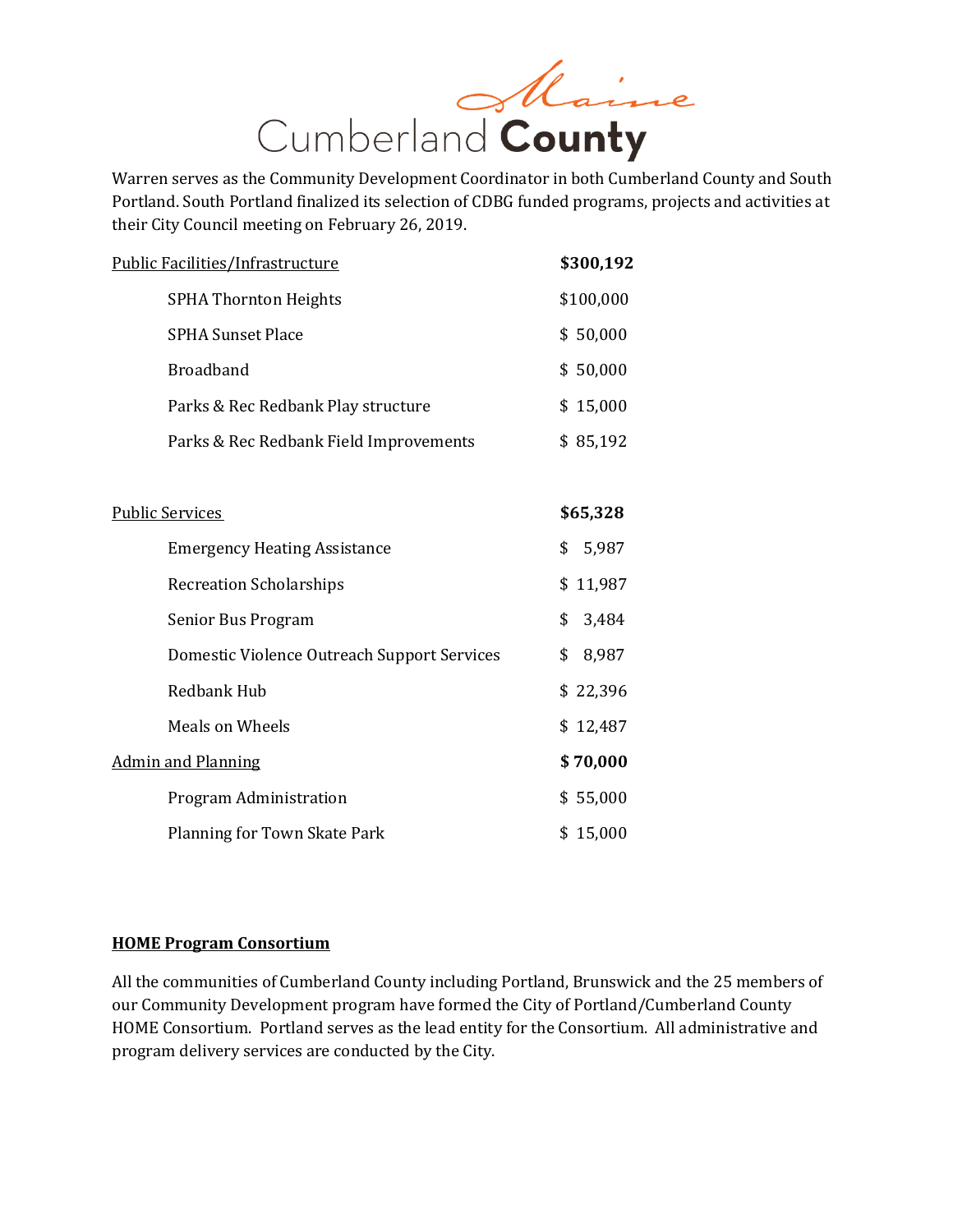

Warren serves as the Community Development Coordinator in both Cumberland County and South Portland. South Portland finalized its selection of CDBG funded programs, projects and activities at their City Council meeting on February 26, 2019.

|                           | <b>Public Facilities/Infrastructure</b>     | \$300,192   |  |  |
|---------------------------|---------------------------------------------|-------------|--|--|
|                           | <b>SPHA Thornton Heights</b>                | \$100,000   |  |  |
|                           | <b>SPHA Sunset Place</b>                    |             |  |  |
|                           | <b>Broadband</b>                            |             |  |  |
|                           | Parks & Rec Redbank Play structure          | \$15,000    |  |  |
|                           | Parks & Rec Redbank Field Improvements      | \$85,192    |  |  |
|                           |                                             |             |  |  |
|                           | <b>Public Services</b>                      | \$65,328    |  |  |
|                           | <b>Emergency Heating Assistance</b>         | \$<br>5,987 |  |  |
|                           | <b>Recreation Scholarships</b>              | \$11,987    |  |  |
|                           | Senior Bus Program                          | \$<br>3,484 |  |  |
|                           | Domestic Violence Outreach Support Services | \$<br>8,987 |  |  |
|                           | <b>Redbank Hub</b>                          | \$22,396    |  |  |
|                           | <b>Meals on Wheels</b>                      | \$12,487    |  |  |
| <b>Admin and Planning</b> | \$70,000                                    |             |  |  |
|                           | Program Administration                      | \$55,000    |  |  |
|                           | Planning for Town Skate Park                | \$15,000    |  |  |

## **HOME Program Consortium**

All the communities of Cumberland County including Portland, Brunswick and the 25 members of our Community Development program have formed the City of Portland/Cumberland County HOME Consortium. Portland serves as the lead entity for the Consortium. All administrative and program delivery services are conducted by the City.